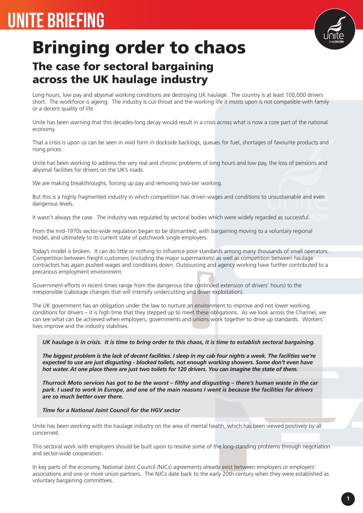## UNITE BRIEFING



# Bringing order to chaos

### The case for sectoral bargaining across the UK haulage industry

Long hours, low pay and abysmal working conditions are destroying UK haulage. The country is at least 100,000 drivers short. The workforce is ageing. The industry is cut-throat and the working life it insists upon is not compatible with family or a decent quality of life.

Unite has been warning that this decades-long decay would result in a crisis across what is now a core part of the national economy.

That a crisis is upon us can be seen in vivid form in dockside backlogs, queues for fuel, shortages of favourite products and rising prices.

Unite has been working to address the very real and chronic problems of long hours and low pay, the loss of pensions and abysmal facilities for drivers on the UK's roads.

We are making breakthroughs, forcing up pay and removing two-tier working.

But this is a highly fragmented industry in which competition has driven wages and conditions to unsustainable and even dangerous levels.

It wasn't always the case. The industry was regulated by sectoral bodies which were widely regarded as successful.

From the mid-1970s sector-wide regulation began to be dismantled, with bargaining moving to a voluntary regional model, and ultimately to its current state of patchwork single employers.

Today's model is broken. It can do little or nothing to influence poor standards among many thousands of small operators. Competition between freight customers (including the major supermarkets) as well as competition between haulage contractors has again pushed wages and conditions down. Outsourcing and agency working have further contributed to a precarious employment environment.

Government efforts in recent times range from the dangerous (the continued extension of drivers' hours) to the irresponsible (cabotage changes that will intensify undercutting and driver exploitation).

The UK government has an obligation under the law to nurture an environment to improve and not lower working conditions for drivers – it is high time that they stepped up to meet these obligations. As we look across the Channel, we can see what can be achieved when employers, governments and unions work together to drive up standards. Workers' lives improve and the industry stabilises.

#### *UK haulage is in crisis. It is time to bring order to this chaos, it is time to establish sectoral bargaining.*

*The biggest problem is the lack of decent facilities. I sleep in my cab four nights a week. The facilities we're expected to use are just disgusting - blocked toilets, not enough working showers. Some don't even have hot water. At one place there are just two toilets for 120 drivers. You can imagine the state of them.*

*Thurrock Moto services has got to be the worst – filthy and disgusting – there's human waste in the car park. I used to work in Europe, and one of the main reasons I went is because the facilities for drivers are so much better over there.*

#### *Time for a National Joint Council for the HGV sector*

Unite has been working with the haulage industry on the area of mental health, which has been viewed positively by all concerned.

This sectoral work with employers should be built upon to resolve some of the long-standing problems through negotiation and sector-wide cooperation.

In key parts of the economy, National Joint Council (NJCs) agreements already exist between employers or employers' associations and one or more union partners. The NJCs date back to the early 20th century when they were established as voluntary bargaining committees.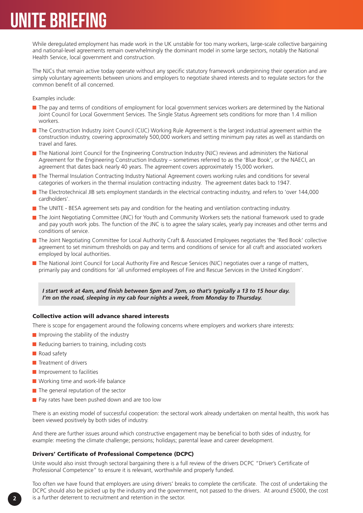## UNITE BRIEFING

While deregulated employment has made work in the UK unstable for too many workers, large-scale collective bargaining and national-level agreements remain overwhelmingly the dominant model in some large sectors, notably the National Health Service, local government and construction.

The NJCs that remain active today operate without any specific statutory framework underpinning their operation and are simply voluntary agreements between unions and employers to negotiate shared interests and to regulate sectors for the common benefit of all concerned.

Examples include:

- The pay and terms of conditions of employment for local government services workers are determined by the National Joint Council for Local Government Services. The Single Status Agreement sets conditions for more than 1.4 million workers.
- The Construction Industry Joint Council (CIJC) Working Rule Agreement is the largest industrial agreement within the construction industry, covering approximately 500,000 workers and setting minimum pay rates as well as standards on travel and fares.
- The National Joint Council for the Engineering Construction Industry (NJC) reviews and administers the National Agreement for the Engineering Construction Industry – sometimes referred to as the 'Blue Book', or the NAECI, an agreement that dates back nearly 40 years. The agreement covers approximately 15,000 workers.
- The Thermal Insulation Contracting Industry National Agreement covers working rules and conditions for several categories of workers in the thermal insulation contracting industry. The agreement dates back to 1947.
- The Electrotechnical JIB sets employment standards in the electrical contracting industry, and refers to 'over 144,000 cardholders'.
- $\blacksquare$  The UNITE BESA agreement sets pay and condition for the heating and ventilation contracting industry.
- The Joint Negotiating Committee (JNC) for Youth and Community Workers sets the national framework used to grade and pay youth work jobs. The function of the JNC is to agree the salary scales, yearly pay increases and other terms and conditions of service.
- The Joint Negotiating Committee for Local Authority Craft & Associated Employees negotiates the 'Red Book' collective agreement to set minimum thresholds on pay and terms and conditions of service for all craft and associated workers employed by local authorities.
- The National Joint Council for Local Authority Fire and Rescue Services (NJC) negotiates over a range of matters, primarily pay and conditions for 'all uniformed employees of Fire and Rescue Services in the United Kingdom'.

*I start work at 4am, and finish between 5pm and 7pm, so that's typically a 13 to 15 hour day. I'm on the road, sleeping in my cab four nights a week, from Monday to Thursday.*

#### Collective action will advance shared interests

There is scope for engagement around the following concerns where employers and workers share interests:

- $\blacksquare$  Improving the stability of the industry
- Reducing barriers to training, including costs
- Road safety
- **T** Treatment of drivers
- **Improvement to facilities**
- Working time and work-life balance
- $\blacksquare$  The general reputation of the sector
- **Pay rates have been pushed down and are too low**

There is an existing model of successful cooperation: the sectoral work already undertaken on mental health, this work has been viewed positively by both sides of industry.

And there are further issues around which constructive engagement may be beneficial to both sides of industry, for example: meeting the climate challenge; pensions; holidays; parental leave and career development.

#### Drivers' Certificate of Professional Competence (DCPC)

Unite would also insist through sectoral bargaining there is a full review of the drivers DCPC "Driver's Certificate of Professional Competence" to ensure it is relevant, worthwhile and properly funded.

Too often we have found that employers are using drivers' breaks to complete the certificate. The cost of undertaking the DCPC should also be picked up by the industry and the government, not passed to the drivers. At around £5000, the cost is a further deterrent to recruitment and retention in the sector.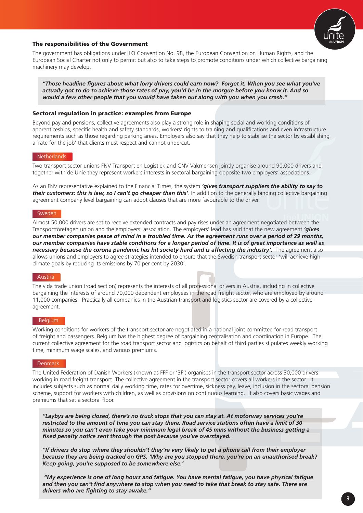

#### The responsibilities of the Government

The government has obligations under ILO Convention No. 98, the European Convention on Human Rights, and the European Social Charter not only to permit but also to take steps to promote conditions under which collective bargaining machinery may develop.

*"Those headline figures about what lorry drivers could earn now? Forget it. When you see what you've actually got to do to achieve those rates of pay, you'd be in the morgue before you know it. And so would a few other people that you would have taken out along with you when you crash."*

#### Sectoral regulation in practice: examples from Europe

Beyond pay and pensions, collective agreements also play a strong role in shaping social and working conditions of apprenticeships, specific health and safety standards, workers' rights to training and qualifications and even infrastructure requirements such as those regarding parking areas. Employers also say that they help to stabilise the sector by establishing a `rate for the job' that clients must respect and cannot undercut.

#### Netherlands

Two transport sector unions FNV Transport en Logistiek and CNV Vakmensen jointly organise around 90,000 drivers and together with de Unie they represent workers interests in sectoral bargaining opposite two employers' associations.

As an FNV representative explained to the Financial Times, the system *'gives transport suppliers the ability to say to their customers: this is law, so I can't go cheaper than this'*. In addition to the generally binding collective bargaining agreement company level bargaining can adopt clauses that are more favourable to the driver.

#### **Sweden**

Almost 50,000 drivers are set to receive extended contracts and pay rises under an agreement negotiated between the Transportföretagen union and the employers' association. The employers' lead has said that the new agreement *'gives our member companies peace of mind in a troubled time. As the agreement runs over a period of 29 months, our member companies have stable conditions for a longer period of time. It is of great importance as well as necessary because the corona pandemic has hit society hard and is affecting the industry'*. The agreement also allows unions and employers to agree strategies intended to ensure that the Swedish transport sector 'will achieve high climate goals by reducing its emissions by 70 per cent by 2030'.

#### Austria

The vida trade union (road section) represents the interests of all professional drivers in Austria, including in collective bargaining the interests of around 70,000 dependent employees in the road freight sector, who are employed by around 11,000 companies. Practically all companies in the Austrian transport and logistics sector are covered by a collective agreement.

#### **Belgium**

Working conditions for workers of the transport sector are negotiated in a national joint committee for road transport of freight and passengers. Belgium has the highest degree of bargaining centralisation and coordination in Europe. The current collective agreement for the road transport sector and logistics on behalf of third parties stipulates weekly working time, minimum wage scales, and various premiums.

#### **Denmark**

The United Federation of Danish Workers (known as FFF or '3F') organises in the transport sector across 30,000 drivers working in road freight transport. The collective agreement in the transport sector covers all workers in the sector. It includes subjects such as normal daily working time, rates for overtime, sickness pay, leave, inclusion in the sectoral pension scheme, support for workers with children, as well as provisions on continuous learning. It also covers basic wages and premiums that set a sectoral floor.

*"Laybys are being closed, there's no truck stops that you can stay at. At motorway services you're restricted to the amount of time you can stay there. Road service stations often have a limit of 30 minutes so you can't even take your minimum legal break of 45 mins without the business getting a fixed penalty notice sent through the post because you've overstayed.*

*"If drivers do stop where they shouldn't they're very likely to get a phone call from their employer because they are being tracked on GPS. 'Why are you stopped there, you're on an unauthorised break? Keep going, you're supposed to be somewhere else.'*

 *"My experience is one of long hours and fatigue. You have mental fatigue, you have physical fatigue and then you can't find anywhere to stop when you need to take that break to stay safe. There are drivers who are fighting to stay awake."*